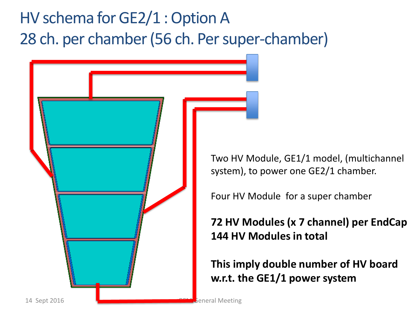## HV schema for GE2/1 : Option A 28 ch. per chamber (56 ch. Per super-chamber)

14 Sept 2016 General Meeting

Two HV Module, GE1/1 model, (multichannel system), to power one GE2/1 chamber.

Four HV Module for a super chamber

## **72 HV Modules (x 7 channel) per EndCap 144 HV Modules in total**

**This imply double number of HV board w.r.t. the GE1/1 power system**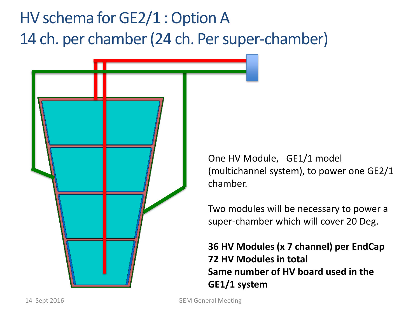## HV schema for GE2/1 : Option A 14 ch. per chamber (24 ch. Per super-chamber)



One HV Module, GE1/1 model (multichannel system), to power one GE2/1 chamber.

Two modules will be necessary to power a super-chamber which will cover 20 Deg.

**36 HV Modules (x 7 channel) per EndCap 72 HV Modules in total Same number of HV board used in the GE1/1 system**